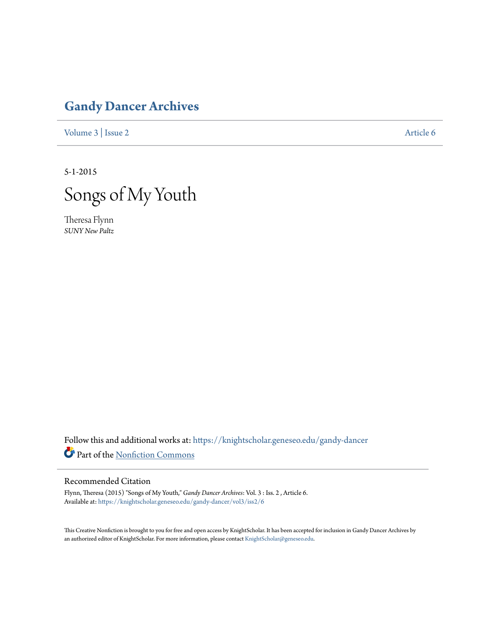# **[Gandy Dancer Archives](https://knightscholar.geneseo.edu/gandy-dancer?utm_source=knightscholar.geneseo.edu%2Fgandy-dancer%2Fvol3%2Fiss2%2F6&utm_medium=PDF&utm_campaign=PDFCoverPages)**

[Volume 3](https://knightscholar.geneseo.edu/gandy-dancer/vol3?utm_source=knightscholar.geneseo.edu%2Fgandy-dancer%2Fvol3%2Fiss2%2F6&utm_medium=PDF&utm_campaign=PDFCoverPages) | [Issue 2](https://knightscholar.geneseo.edu/gandy-dancer/vol3/iss2?utm_source=knightscholar.geneseo.edu%2Fgandy-dancer%2Fvol3%2Fiss2%2F6&utm_medium=PDF&utm_campaign=PDFCoverPages) [Article 6](https://knightscholar.geneseo.edu/gandy-dancer/vol3/iss2/6?utm_source=knightscholar.geneseo.edu%2Fgandy-dancer%2Fvol3%2Fiss2%2F6&utm_medium=PDF&utm_campaign=PDFCoverPages)

5-1-2015



Theresa Flynn *SUNY New Paltz*

Follow this and additional works at: [https://knightscholar.geneseo.edu/gandy-dancer](https://knightscholar.geneseo.edu/gandy-dancer?utm_source=knightscholar.geneseo.edu%2Fgandy-dancer%2Fvol3%2Fiss2%2F6&utm_medium=PDF&utm_campaign=PDFCoverPages) Part of the [Nonfiction Commons](http://network.bepress.com/hgg/discipline/1152?utm_source=knightscholar.geneseo.edu%2Fgandy-dancer%2Fvol3%2Fiss2%2F6&utm_medium=PDF&utm_campaign=PDFCoverPages)

# Recommended Citation

Flynn, Theresa (2015) "Songs of My Youth," *Gandy Dancer Archives*: Vol. 3 : Iss. 2 , Article 6. Available at: [https://knightscholar.geneseo.edu/gandy-dancer/vol3/iss2/6](https://knightscholar.geneseo.edu/gandy-dancer/vol3/iss2/6?utm_source=knightscholar.geneseo.edu%2Fgandy-dancer%2Fvol3%2Fiss2%2F6&utm_medium=PDF&utm_campaign=PDFCoverPages)

This Creative Nonfiction is brought to you for free and open access by KnightScholar. It has been accepted for inclusion in Gandy Dancer Archives by an authorized editor of KnightScholar. For more information, please contact [KnightScholar@geneseo.edu](mailto:KnightScholar@geneseo.edu).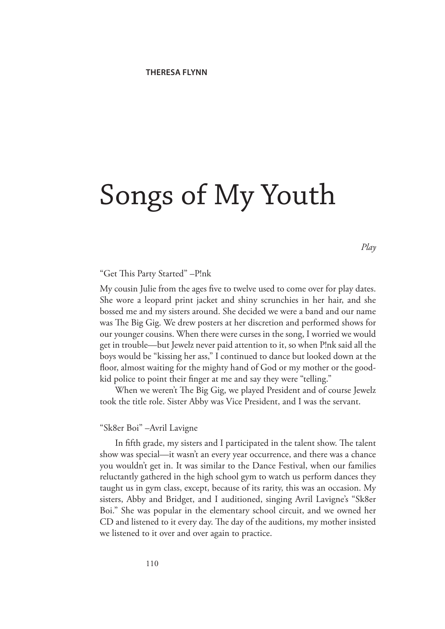# Songs of My Youth

*Play*

# "Get This Party Started" –P!nk

My cousin Julie from the ages five to twelve used to come over for play dates. She wore a leopard print jacket and shiny scrunchies in her hair, and she bossed me and my sisters around. She decided we were a band and our name was The Big Gig. We drew posters at her discretion and performed shows for our younger cousins. When there were curses in the song, I worried we would get in trouble—but Jewelz never paid attention to it, so when P!nk said all the boys would be "kissing her ass," I continued to dance but looked down at the floor, almost waiting for the mighty hand of God or my mother or the goodkid police to point their finger at me and say they were "telling."

When we weren't The Big Gig, we played President and of course Jewelz took the title role. Sister Abby was Vice President, and I was the servant.

#### "Sk8er Boi" –Avril Lavigne

In fifth grade, my sisters and I participated in the talent show. The talent show was special—it wasn't an every year occurrence, and there was a chance you wouldn't get in. It was similar to the Dance Festival, when our families reluctantly gathered in the high school gym to watch us perform dances they taught us in gym class, except, because of its rarity, this was an occasion. My sisters, Abby and Bridget, and I auditioned, singing Avril Lavigne's "Sk8er Boi." She was popular in the elementary school circuit, and we owned her CD and listened to it every day. The day of the auditions, my mother insisted we listened to it over and over again to practice.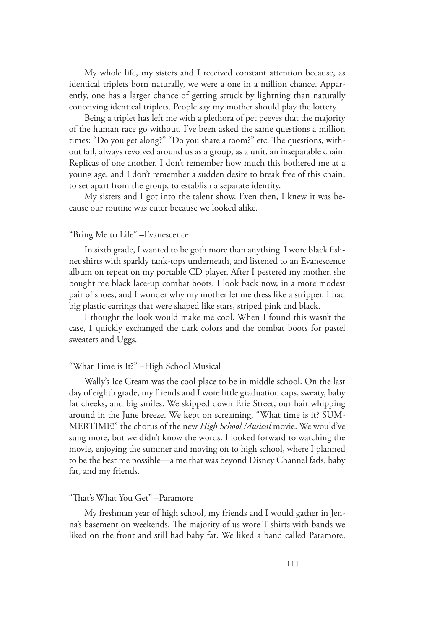My whole life, my sisters and I received constant attention because, as identical triplets born naturally, we were a one in a million chance. Apparently, one has a larger chance of getting struck by lightning than naturally conceiving identical triplets. People say my mother should play the lottery.

Being a triplet has left me with a plethora of pet peeves that the majority of the human race go without. I've been asked the same questions a million times: "Do you get along?" "Do you share a room?" etc. The questions, without fail, always revolved around us as a group, as a unit, an inseparable chain. Replicas of one another. I don't remember how much this bothered me at a young age, and I don't remember a sudden desire to break free of this chain, to set apart from the group, to establish a separate identity.

My sisters and I got into the talent show. Even then, I knew it was because our routine was cuter because we looked alike.

# "Bring Me to Life" –Evanescence

In sixth grade, I wanted to be goth more than anything. I wore black fishnet shirts with sparkly tank-tops underneath, and listened to an Evanescence album on repeat on my portable CD player. After I pestered my mother, she bought me black lace-up combat boots. I look back now, in a more modest pair of shoes, and I wonder why my mother let me dress like a stripper. I had big plastic earrings that were shaped like stars, striped pink and black.

I thought the look would make me cool. When I found this wasn't the case, I quickly exchanged the dark colors and the combat boots for pastel sweaters and Uggs.

#### "What Time is It?" –High School Musical

Wally's Ice Cream was the cool place to be in middle school. On the last day of eighth grade, my friends and I wore little graduation caps, sweaty, baby fat cheeks, and big smiles. We skipped down Erie Street, our hair whipping around in the June breeze. We kept on screaming, "What time is it? SUM-MERTIME!" the chorus of the new *High School Musical* movie. We would've sung more, but we didn't know the words. I looked forward to watching the movie, enjoying the summer and moving on to high school, where I planned to be the best me possible—a me that was beyond Disney Channel fads, baby fat, and my friends.

# "That's What You Get" –Paramore

My freshman year of high school, my friends and I would gather in Jenna's basement on weekends. The majority of us wore T-shirts with bands we liked on the front and still had baby fat. We liked a band called Paramore,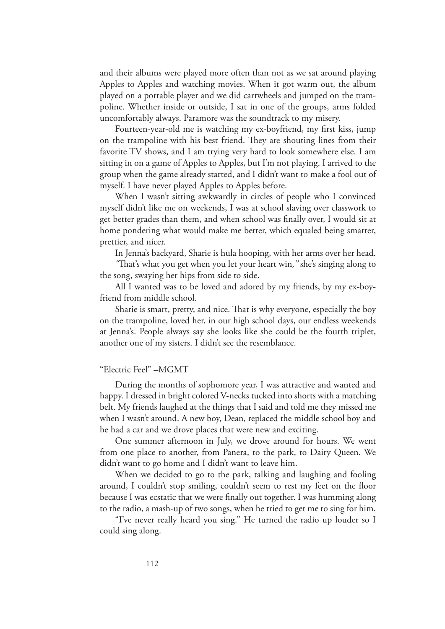and their albums were played more often than not as we sat around playing Apples to Apples and watching movies. When it got warm out, the album played on a portable player and we did cartwheels and jumped on the trampoline. Whether inside or outside, I sat in one of the groups, arms folded uncomfortably always. Paramore was the soundtrack to my misery.

Fourteen-year-old me is watching my ex-boyfriend, my first kiss, jump on the trampoline with his best friend. They are shouting lines from their favorite TV shows, and I am trying very hard to look somewhere else. I am sitting in on a game of Apples to Apples, but I'm not playing. I arrived to the group when the game already started, and I didn't want to make a fool out of myself. I have never played Apples to Apples before.

When I wasn't sitting awkwardly in circles of people who I convinced myself didn't like me on weekends, I was at school slaving over classwork to get better grades than them, and when school was finally over, I would sit at home pondering what would make me better, which equaled being smarter, prettier, and nicer.

In Jenna's backyard, Sharie is hula hooping, with her arms over her head.

*"*That's what you get when you let your heart win*,"* she's singing along to the song, swaying her hips from side to side.

All I wanted was to be loved and adored by my friends, by my ex-boyfriend from middle school.

Sharie is smart, pretty, and nice. That is why everyone, especially the boy on the trampoline, loved her, in our high school days, our endless weekends at Jenna's. People always say she looks like she could be the fourth triplet, another one of my sisters. I didn't see the resemblance.

#### "Electric Feel" –MGMT

During the months of sophomore year, I was attractive and wanted and happy. I dressed in bright colored V-necks tucked into shorts with a matching belt. My friends laughed at the things that I said and told me they missed me when I wasn't around. A new boy, Dean, replaced the middle school boy and he had a car and we drove places that were new and exciting.

One summer afternoon in July, we drove around for hours. We went from one place to another, from Panera, to the park, to Dairy Queen. We didn't want to go home and I didn't want to leave him.

When we decided to go to the park, talking and laughing and fooling around, I couldn't stop smiling, couldn't seem to rest my feet on the floor because I was ecstatic that we were finally out together. I was humming along to the radio, a mash-up of two songs, when he tried to get me to sing for him.

"I've never really heard you sing." He turned the radio up louder so I could sing along.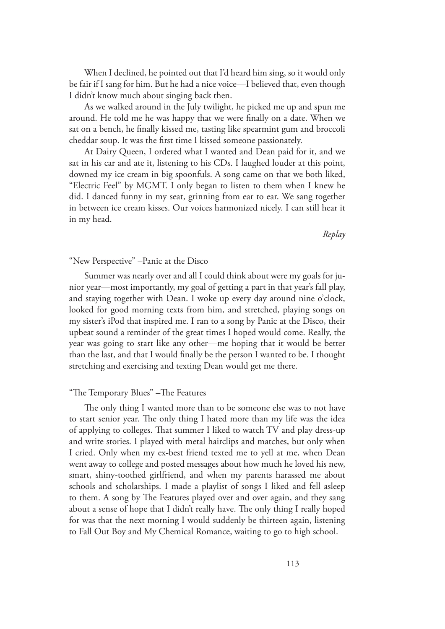When I declined, he pointed out that I'd heard him sing, so it would only be fair if I sang for him. But he had a nice voice—I believed that, even though I didn't know much about singing back then.

As we walked around in the July twilight, he picked me up and spun me around. He told me he was happy that we were finally on a date. When we sat on a bench, he finally kissed me, tasting like spearmint gum and broccoli cheddar soup. It was the first time I kissed someone passionately.

At Dairy Queen, I ordered what I wanted and Dean paid for it, and we sat in his car and ate it, listening to his CDs. I laughed louder at this point, downed my ice cream in big spoonfuls. A song came on that we both liked, "Electric Feel" by MGMT. I only began to listen to them when I knew he did. I danced funny in my seat, grinning from ear to ear. We sang together in between ice cream kisses. Our voices harmonized nicely. I can still hear it in my head.

*Replay*

# "New Perspective" –Panic at the Disco

Summer was nearly over and all I could think about were my goals for junior year—most importantly, my goal of getting a part in that year's fall play, and staying together with Dean. I woke up every day around nine o'clock, looked for good morning texts from him, and stretched, playing songs on my sister's iPod that inspired me. I ran to a song by Panic at the Disco, their upbeat sound a reminder of the great times I hoped would come. Really, the year was going to start like any other—me hoping that it would be better than the last, and that I would finally be the person I wanted to be. I thought stretching and exercising and texting Dean would get me there.

#### "The Temporary Blues" –The Features

The only thing I wanted more than to be someone else was to not have to start senior year. The only thing I hated more than my life was the idea of applying to colleges. That summer I liked to watch TV and play dress-up and write stories. I played with metal hairclips and matches, but only when I cried. Only when my ex-best friend texted me to yell at me, when Dean went away to college and posted messages about how much he loved his new, smart, shiny-toothed girlfriend, and when my parents harassed me about schools and scholarships. I made a playlist of songs I liked and fell asleep to them. A song by The Features played over and over again, and they sang about a sense of hope that I didn't really have. The only thing I really hoped for was that the next morning I would suddenly be thirteen again, listening to Fall Out Boy and My Chemical Romance, waiting to go to high school.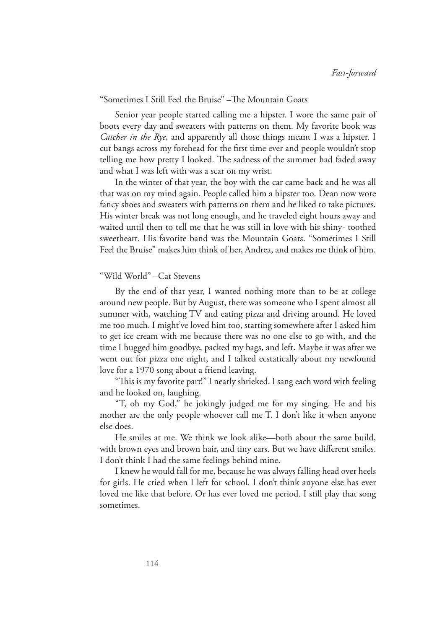#### "Sometimes I Still Feel the Bruise" –The Mountain Goats

Senior year people started calling me a hipster. I wore the same pair of boots every day and sweaters with patterns on them. My favorite book was *Catcher in the Rye,* and apparently all those things meant I was a hipster. I cut bangs across my forehead for the first time ever and people wouldn't stop telling me how pretty I looked. The sadness of the summer had faded away and what I was left with was a scar on my wrist.

In the winter of that year, the boy with the car came back and he was all that was on my mind again. People called him a hipster too. Dean now wore fancy shoes and sweaters with patterns on them and he liked to take pictures. His winter break was not long enough, and he traveled eight hours away and waited until then to tell me that he was still in love with his shiny- toothed sweetheart. His favorite band was the Mountain Goats. "Sometimes I Still Feel the Bruise" makes him think of her, Andrea, and makes me think of him.

## "Wild World" –Cat Stevens

By the end of that year, I wanted nothing more than to be at college around new people. But by August, there was someone who I spent almost all summer with, watching TV and eating pizza and driving around. He loved me too much. I might've loved him too, starting somewhere after I asked him to get ice cream with me because there was no one else to go with, and the time I hugged him goodbye, packed my bags, and left. Maybe it was after we went out for pizza one night, and I talked ecstatically about my newfound love for a 1970 song about a friend leaving.

"This is my favorite part!" I nearly shrieked. I sang each word with feeling and he looked on, laughing.

"T, oh my God," he jokingly judged me for my singing. He and his mother are the only people whoever call me T. I don't like it when anyone else does.

He smiles at me. We think we look alike—both about the same build, with brown eyes and brown hair, and tiny ears. But we have different smiles. I don't think I had the same feelings behind mine.

I knew he would fall for me, because he was always falling head over heels for girls. He cried when I left for school. I don't think anyone else has ever loved me like that before. Or has ever loved me period. I still play that song sometimes.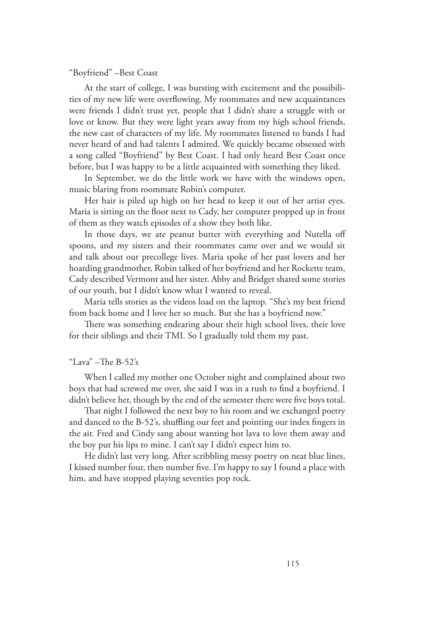#### "Boyfriend" –Best Coast

At the start of college, I was bursting with excitement and the possibilities of my new life were overflowing. My roommates and new acquaintances were friends I didn't trust yet, people that I didn't share a struggle with or love or know. But they were light years away from my high school friends, the new cast of characters of my life. My roommates listened to bands I had never heard of and had talents I admired. We quickly became obsessed with a song called "Boyfriend" by Best Coast. I had only heard Best Coast once before, but I was happy to be a little acquainted with something they liked.

In September, we do the little work we have with the windows open, music blaring from roommate Robin's computer.

Her hair is piled up high on her head to keep it out of her artist eyes. Maria is sitting on the floor next to Cady, her computer propped up in front of them as they watch episodes of a show they both like.

In those days, we ate peanut butter with everything and Nutella off spoons, and my sisters and their roommates came over and we would sit and talk about our precollege lives. Maria spoke of her past lovers and her hoarding grandmother, Robin talked of her boyfriend and her Rockette team, Cady described Vermont and her sister. Abby and Bridget shared some stories of our youth, but I didn't know what I wanted to reveal.

Maria tells stories as the videos load on the laptop. "She's my best friend from back home and I love her so much. But she has a boyfriend now."

There was something endearing about their high school lives, their love for their siblings and their TMI. So I gradually told them my past.

## "Lava" –The B-52's

When I called my mother one October night and complained about two boys that had screwed me over, she said I was in a rush to find a boyfriend. I didn't believe her, though by the end of the semester there were five boys total.

That night I followed the next boy to his room and we exchanged poetry and danced to the B-52's, shuffling our feet and pointing our index fingers in the air. Fred and Cindy sang about wanting hot lava to love them away and the boy put his lips to mine. I can't say I didn't expect him to.

He didn't last very long. After scribbling messy poetry on neat blue lines, I kissed number four, then number five. I'm happy to say I found a place with him, and have stopped playing seventies pop rock.